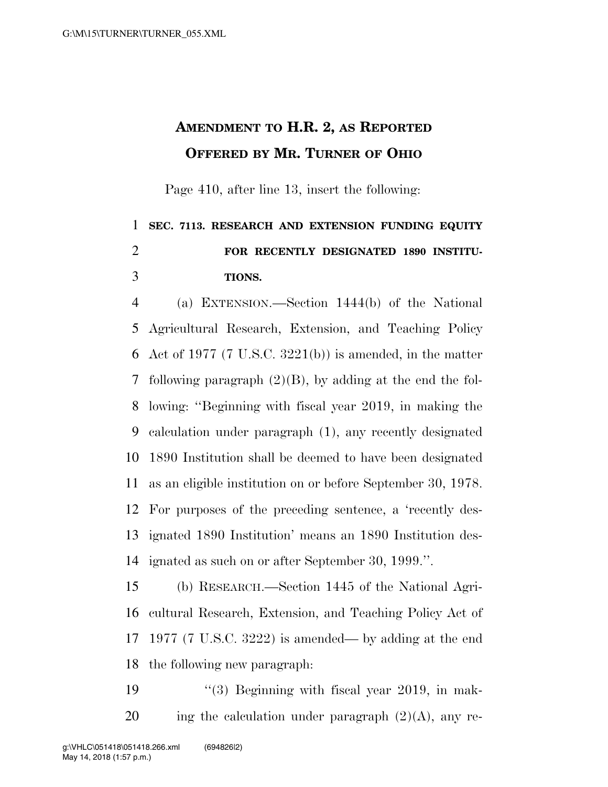## **AMENDMENT TO H.R. 2, AS REPORTED OFFERED BY MR. TURNER OF OHIO**

Page 410, after line 13, insert the following:

## **SEC. 7113. RESEARCH AND EXTENSION FUNDING EQUITY FOR RECENTLY DESIGNATED 1890 INSTITU-TIONS.**

 (a) EXTENSION.—Section 1444(b) of the National Agricultural Research, Extension, and Teaching Policy Act of 1977 (7 U.S.C. 3221(b)) is amended, in the matter following paragraph (2)(B), by adding at the end the fol- lowing: ''Beginning with fiscal year 2019, in making the calculation under paragraph (1), any recently designated 1890 Institution shall be deemed to have been designated as an eligible institution on or before September 30, 1978. For purposes of the preceding sentence, a 'recently des- ignated 1890 Institution' means an 1890 Institution des-ignated as such on or after September 30, 1999.''.

 (b) RESEARCH.—Section 1445 of the National Agri- cultural Research, Extension, and Teaching Policy Act of 1977 (7 U.S.C. 3222) is amended— by adding at the end the following new paragraph:

19 ''(3) Beginning with fiscal year 2019, in mak-20 ing the calculation under paragraph  $(2)(A)$ , any re-